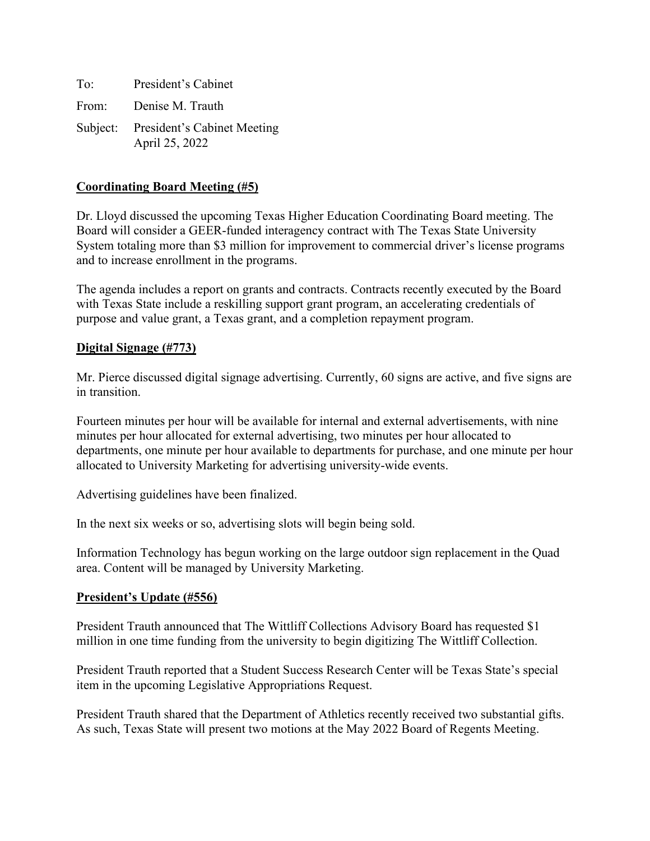To: President's Cabinet From: Denise M. Trauth Subject: President's Cabinet Meeting April 25, 2022

### **Coordinating Board Meeting (#5)**

Dr. Lloyd discussed the upcoming Texas Higher Education Coordinating Board meeting. The Board will consider a GEER-funded interagency contract with The Texas State University System totaling more than \$3 million for improvement to commercial driver's license programs and to increase enrollment in the programs.

The agenda includes a report on grants and contracts. Contracts recently executed by the Board with Texas State include a reskilling support grant program, an accelerating credentials of purpose and value grant, a Texas grant, and a completion repayment program.

#### **Digital Signage (#773)**

Mr. Pierce discussed digital signage advertising. Currently, 60 signs are active, and five signs are in transition.

Fourteen minutes per hour will be available for internal and external advertisements, with nine minutes per hour allocated for external advertising, two minutes per hour allocated to departments, one minute per hour available to departments for purchase, and one minute per hour allocated to University Marketing for advertising university-wide events.

Advertising guidelines have been finalized.

In the next six weeks or so, advertising slots will begin being sold.

Information Technology has begun working on the large outdoor sign replacement in the Quad area. Content will be managed by University Marketing.

#### **President's Update (#556)**

President Trauth announced that The Wittliff Collections Advisory Board has requested \$1 million in one time funding from the university to begin digitizing The Wittliff Collection.

President Trauth reported that a Student Success Research Center will be Texas State's special item in the upcoming Legislative Appropriations Request.

President Trauth shared that the Department of Athletics recently received two substantial gifts. As such, Texas State will present two motions at the May 2022 Board of Regents Meeting.